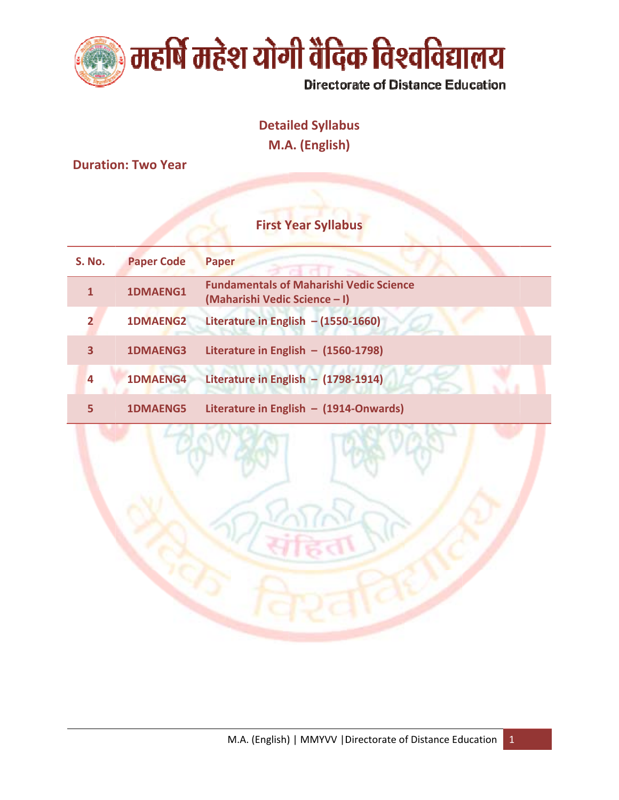

# **Detailed Syllabus**

M.A. (English)

**Duration: Two Year** 

## **First Year Syllabus**

| <b>S. No.</b> | <b>Paper Code</b> | <b>Paper</b>                                                                    |
|---------------|-------------------|---------------------------------------------------------------------------------|
|               | 1DMAENG1          | <b>Fundamentals of Maharishi Vedic Science</b><br>(Maharishi Vedic Science - I) |
|               | <b>1DMAENG2</b>   | Literature in English $-$ (1550-1660)                                           |
| 3             | <b>1DMAENG3</b>   | Literature in English $-$ (1560-1798)                                           |
| 4             | <b>1DMAENG4</b>   | Literature in English - $(1798-1914)$                                           |
|               | <b>1DMAENG5</b>   | Literature in English $-$ (1914-Onwards)                                        |

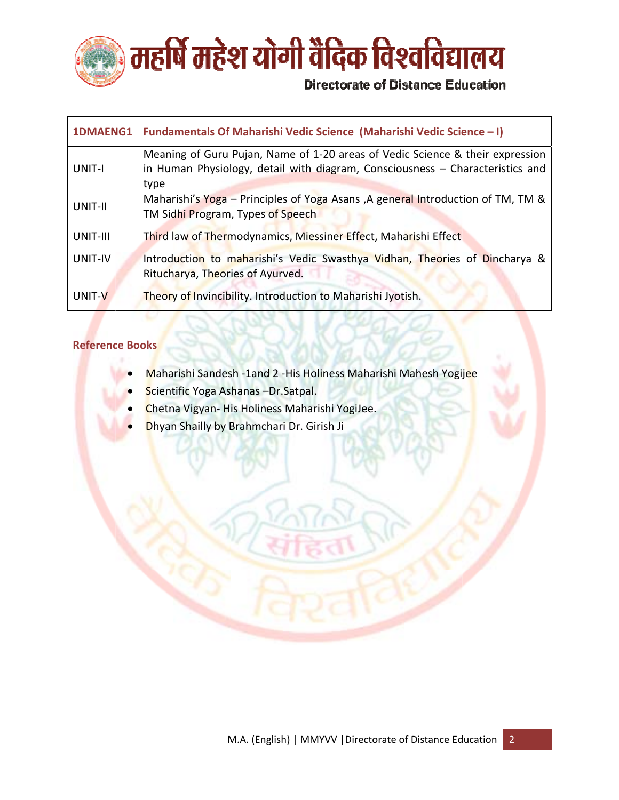

| 1DMAENG1 | Fundamentals Of Maharishi Vedic Science (Maharishi Vedic Science - I)                                                                                                  |
|----------|------------------------------------------------------------------------------------------------------------------------------------------------------------------------|
| UNIT-I   | Meaning of Guru Pujan, Name of 1-20 areas of Vedic Science & their expression<br>in Human Physiology, detail with diagram, Consciousness - Characteristics and<br>type |
| UNIT-II  | Maharishi's Yoga – Principles of Yoga Asans, A general Introduction of TM, TM &<br>TM Sidhi Program, Types of Speech                                                   |
| UNIT-III | Third law of Thermodynamics, Miessiner Effect, Maharishi Effect                                                                                                        |
| UNIT-IV  | Introduction to maharishi's Vedic Swasthya Vidhan, Theories of Dincharya &<br>Ritucharya, Theories of Ayurved.                                                         |
| UNIT-V   | Theory of Invincibility. Introduction to Maharishi Jyotish.                                                                                                            |

- Maharishi Sandesh -1and 2 His Holiness Maharishi Mahesh Yogijee
- Scientific Yoga Ashanas Dr. Satpal.
- Chetna Vigyan- His Holiness Maharishi YogiJee.
- Dhyan Shailly by Brahmchari Dr. Girish Ji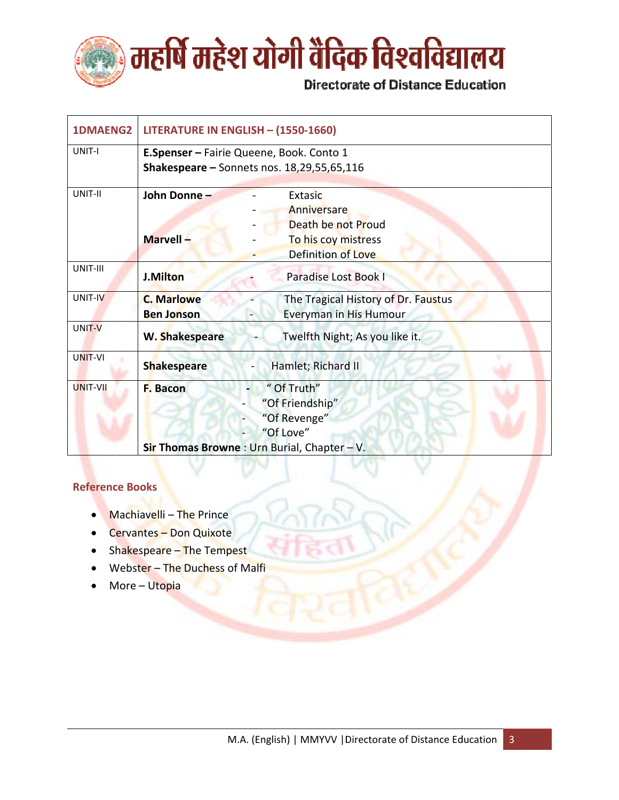

| <b>1DMAENG2</b> | LITERATURE IN ENGLISH - (1550-1660)      |                                                |  |
|-----------------|------------------------------------------|------------------------------------------------|--|
| UNIT-I          | E.Spenser - Fairie Queene, Book. Conto 1 |                                                |  |
|                 |                                          | Shakespeare $-$ Sonnets nos. $18,29,55,65,116$ |  |
| UNIT-II         | John Donne-                              | Extasic                                        |  |
|                 |                                          | Anniversare                                    |  |
|                 |                                          | Death be not Proud                             |  |
|                 | Marvell-                                 | To his coy mistress                            |  |
|                 |                                          | Definition of Love                             |  |
| UNIT-III        | J.Milton                                 | Paradise Lost Book I                           |  |
| UNIT-IV         | <b>C. Marlowe</b>                        | The Tragical History of Dr. Faustus            |  |
|                 | <b>Ben Jonson</b>                        | <b>Everyman in His Humour</b><br>$\frac{1}{2}$ |  |
| UNIT-V          | W. Shakespeare                           | Twelfth Night; As you like it.                 |  |
| <b>UNIT-VI</b>  | <b>Shakespeare</b>                       | Hamlet; Richard II                             |  |
| UNIT-VII        | F. Bacon                                 | " Of Truth"                                    |  |
|                 |                                          | "Of Friendship"                                |  |
|                 |                                          | "Of Revenge"                                   |  |
|                 |                                          | "Of Love"                                      |  |
|                 |                                          | Sir Thomas Browne: Urn Burial, Chapter - V.    |  |

- Machiavelli The Prince
- **Cervantes Don Quixote**  $\bullet$
- Shakespeare The Tempest  $\bullet$
- Webster The Duchess of Malfi  $\bullet$
- More Utopia  $\bullet$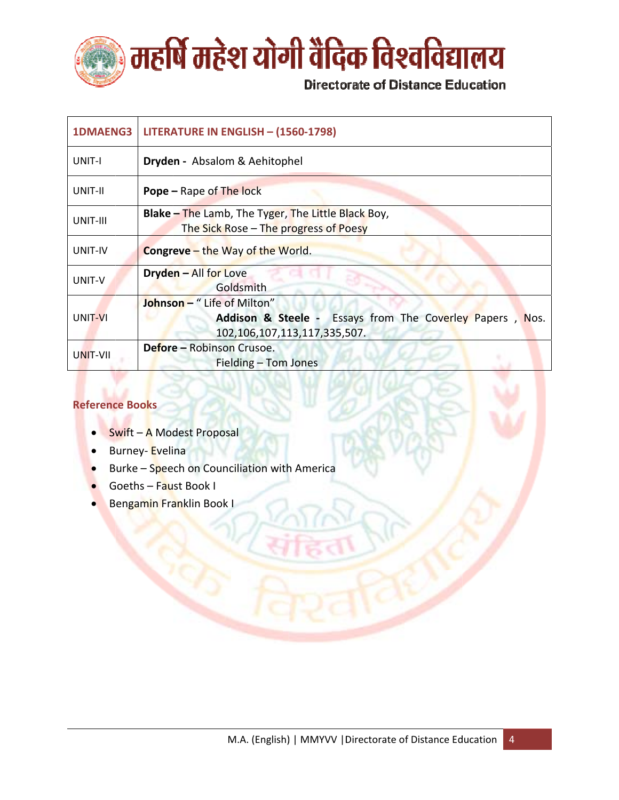

| <b>1DMAENG3</b> | LITERATURE IN ENGLISH - (1560-1798)                                                                                              |
|-----------------|----------------------------------------------------------------------------------------------------------------------------------|
| UNIT-I          | Dryden - Absalom & Aehitophel                                                                                                    |
| UNIT-II         | <b>Pope - Rape of The lock</b>                                                                                                   |
| UNIT-III        | <b>Blake – The Lamb, The Tyger, The Little Black Boy,</b><br>The Sick Rose – The progress of Poesy                               |
| UNIT-IV         | <b>Congreve</b> - the Way of the World.                                                                                          |
| UNIT-V          | <b>Dryden - All for Love</b><br>Goldsmith                                                                                        |
| UNIT-VI         | <b>Johnson - "</b> Life of Milton"<br>Addison & Steele - Essays from The Coverley Papers<br>Nos.<br>102,106,107,113,117,335,507. |
| UNIT-VII        | Defore - Robinson Crusoe.<br>Fielding - Tom Jones                                                                                |

- Swift A Modest Proposal  $\bullet$
- Burney-Evelina  $\bullet$
- Burke Speech on Counciliation with America  $\bullet$
- Goeths Faust Book I
- Bengamin Franklin Book I  $\bullet$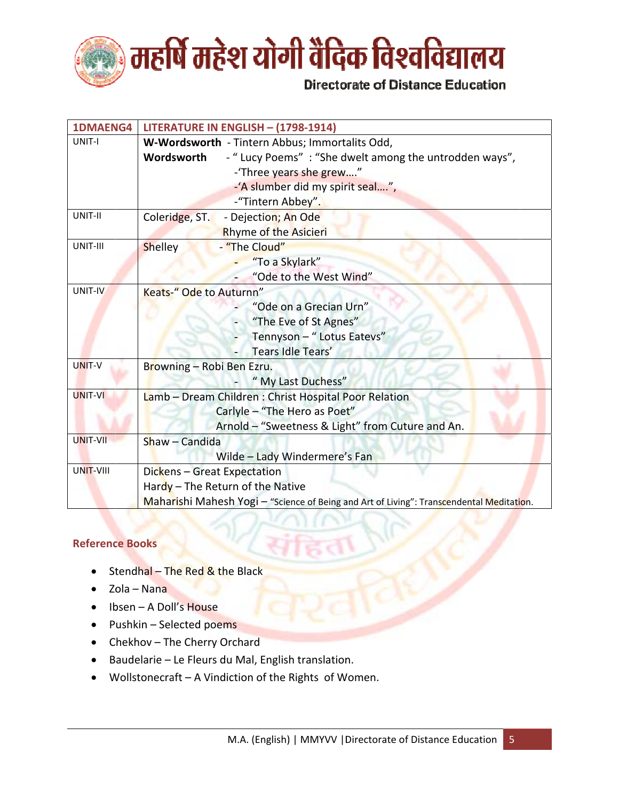

| <b>1DMAENG4</b>  | LITERATURE IN ENGLISH - (1798-1914)                                                      |  |  |
|------------------|------------------------------------------------------------------------------------------|--|--|
| UNIT-I           | W-Wordsworth - Tintern Abbus; Immortalits Odd,                                           |  |  |
|                  | - " Lucy Poems" : "She dwelt among the untrodden ways",<br>Wordsworth                    |  |  |
|                  | -'Three years she grew"                                                                  |  |  |
|                  | -'A slumber did my spirit seal",                                                         |  |  |
|                  | -"Tintern Abbey".                                                                        |  |  |
| UNIT-II          | Coleridge, ST.<br>- Dejection; An Ode                                                    |  |  |
|                  | Rhyme of the Asicieri                                                                    |  |  |
| UNIT-III         | - "The Cloud"<br>Shelley                                                                 |  |  |
|                  | "To a Skylark"                                                                           |  |  |
|                  | "Ode to the West Wind"                                                                   |  |  |
| UNIT-IV          | Keats-" Ode to Auturnn"                                                                  |  |  |
|                  | "Ode on a Grecian Urn"                                                                   |  |  |
|                  | "The Eve of St Agnes"                                                                    |  |  |
|                  | Tennyson - " Lotus Eatevs"                                                               |  |  |
|                  | Tears Idle Tears'                                                                        |  |  |
| UNIT-V           | Browning - Robi Ben Ezru.                                                                |  |  |
|                  | "My Last Duchess"                                                                        |  |  |
| <b>UNIT-VI</b>   | Lamb - Dream Children : Christ Hospital Poor Relation                                    |  |  |
|                  | Carlyle - "The Hero as Poet"                                                             |  |  |
|                  | Arnold - "Sweetness & Light" from Cuture and An.                                         |  |  |
| <b>UNIT-VII</b>  | Shaw - Candida                                                                           |  |  |
|                  | Wilde - Lady Windermere's Fan                                                            |  |  |
| <b>UNIT-VIII</b> | Dickens - Great Expectation                                                              |  |  |
|                  | Hardy - The Return of the Native                                                         |  |  |
|                  | Maharishi Mahesh Yogi - "Science of Being and Art of Living": Transcendental Meditation. |  |  |

- Stendhal The Red & the Black  $\bullet$
- Zola Nana
- $\bullet$  Ibsen A Doll's House
- Pushkin Selected poems
- Chekhov The Cherry Orchard
- Baudelarie Le Fleurs du Mal, English translation.
- Wollstonecraft A Vindiction of the Rights of Women.